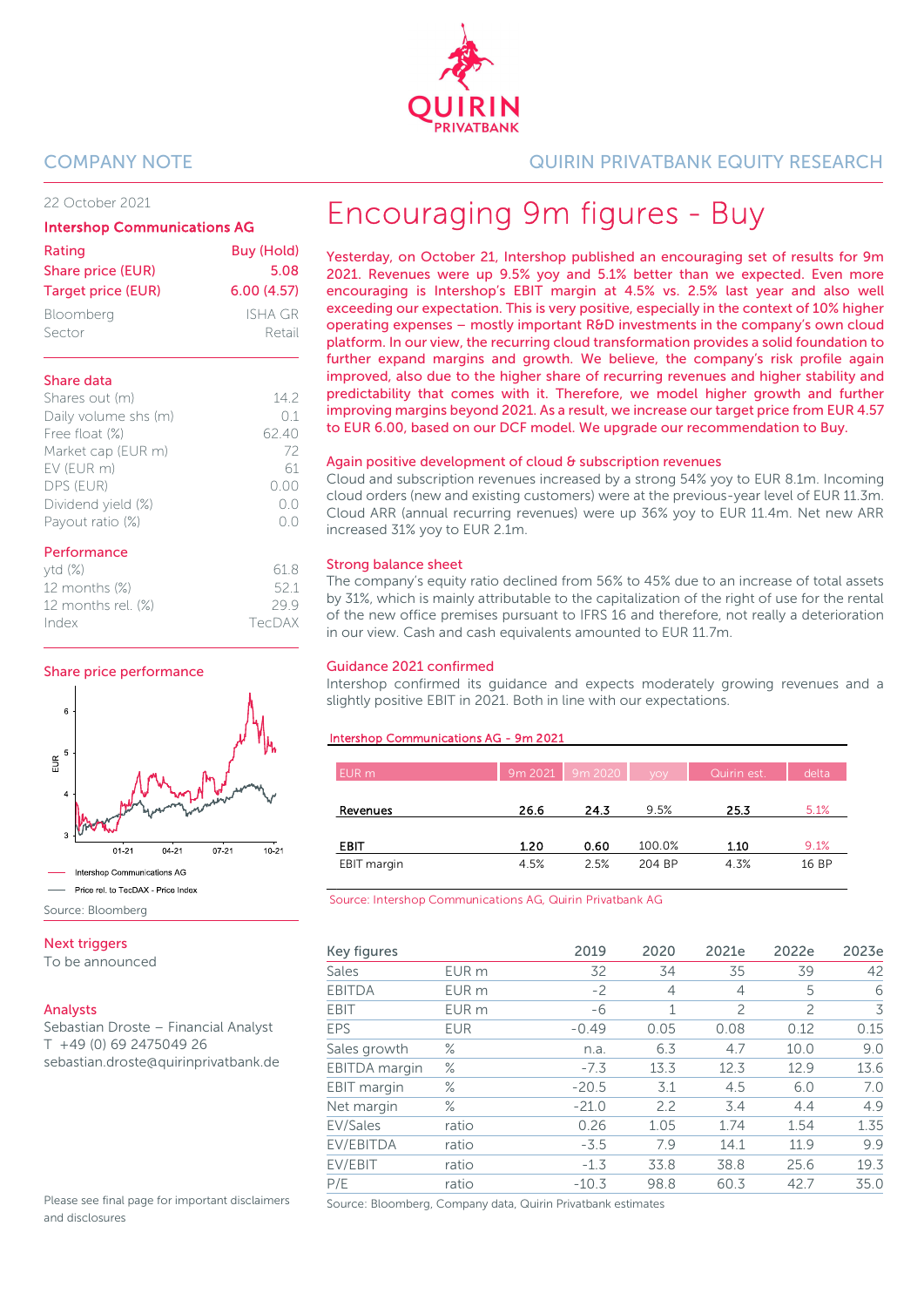

#### 22 October 2021

#### Intershop Communications AG

| Rating<br>Share price (EUR) | Buy (Hold)<br>5.08 |
|-----------------------------|--------------------|
| <b>Target price (EUR)</b>   | 6.00(4.57)         |
| Bloomberg                   | ISHA GR            |
| Sector                      | Retail             |

#### Share data

| 142   |
|-------|
| 01    |
| 62.40 |
| 72    |
| 61    |
| 0.00  |
| ()()  |
|       |
|       |

#### Performance

| ytd(%)                | 618    |
|-----------------------|--------|
| 12 months $(\%)$      | 52.1   |
| 12 months rel. $(\%)$ | 299    |
| Index                 | TecDAX |
|                       |        |

#### Share price performance



Source: Bloomberg

#### Next triggers

To be announced

#### Analysts

Sebastian Droste – Financial Analyst T +49 (0) 69 2475049 26 sebastian.droste@quirinprivatbank.de

Please see final page for important disclaimers and disclosures

### COMPANY NOTE QUIRIN PRIVATBANK EQUITY RESEARCH

# Encouraging 9m figures - Buy

Yesterday, on October 21, Intershop published an encouraging set of results for 9m 2021. Revenues were up 9.5% yoy and 5.1% better than we expected. Even more encouraging is Intershop's EBIT margin at 4.5% vs. 2.5% last year and also well exceeding our expectation. This is very positive, especially in the context of 10% higher operating expenses – mostly important R&D investments in the company's own cloud platform. In our view, the recurring cloud transformation provides a solid foundation to further expand margins and growth. We believe, the company's risk profile again improved, also due to the higher share of recurring revenues and higher stability and predictability that comes with it. Therefore, we model higher growth and further improving margins beyond 2021. As a result, we increase our target price from EUR 4.57 to EUR 6.00, based on our DCF model. We upgrade our recommendation to Buy.

#### Again positive development of cloud & subscription revenues

Cloud and subscription revenues increased by a strong 54% yoy to EUR 8.1m. Incoming cloud orders (new and existing customers) were at the previous-year level of EUR 11.3m. Cloud ARR (annual recurring revenues) were up 36% yoy to EUR 11.4m. Net new ARR increased 31% yoy to EUR 2.1m.

#### Strong balance sheet

The company's equity ratio declined from 56% to 45% due to an increase of total assets by 31%, which is mainly attributable to the capitalization of the right of use for the rental of the new office premises pursuant to IFRS 16 and therefore, not really a deterioration in our view. Cash and cash equivalents amounted to EUR 11.7m.

#### Guidance 2021 confirmed

Intershop confirmed its guidance and expects moderately growing revenues and a slightly positive EBIT in 2021. Both in line with our expectations.

#### Intershop Communications AG - 9m 2021

| EUR m       |      | 9m 2021 9m 2020 voy |        | Quirin est. | delta |
|-------------|------|---------------------|--------|-------------|-------|
| Revenues    | 26.6 | 24.3                | 9.5%   | 25.3        | 5.1%  |
| <b>EBIT</b> | 1.20 | 0.60                | 100.0% | 1.10        | 9.1%  |
| EBIT margin | 4.5% | 2.5%                | 204 BP | 4.3%        | 16 BP |

Source: Intershop Communications AG, Quirin Privatbank AG

| Key figures   |                  | 2019    | 2020 | 2021e          | 2022e          | 2023e |
|---------------|------------------|---------|------|----------------|----------------|-------|
| Sales         | EUR m            | 32      | 34   | 35             | 39             | 42    |
| <b>EBITDA</b> | EUR <sub>m</sub> | $-2$    | 4    | 4              | 5              | 6     |
| <b>EBIT</b>   | EUR <sub>m</sub> | -6      | 1    | $\overline{c}$ | $\overline{c}$ | 3     |
| EPS           | <b>EUR</b>       | $-0.49$ | 0.05 | 0.08           | 0.12           | 0.15  |
| Sales growth  | $\%$             | n.a.    | 6.3  | 4.7            | 10.0           | 9.0   |
| EBITDA margin | $\%$             | $-7.3$  | 13.3 | 12.3           | 12.9           | 13.6  |
| EBIT margin   | $\%$             | $-20.5$ | 3.1  | 4.5            | 6.0            | 7.0   |
| Net margin    | $\%$             | $-21.0$ | 2.2  | 3.4            | 4.4            | 4.9   |
| EV/Sales      | ratio            | 0.26    | 1.05 | 1.74           | 1.54           | 1.35  |
| EV/EBITDA     | ratio            | $-3.5$  | 7.9  | 14.1           | 11.9           | 9.9   |
| EV/EBIT       | ratio            | $-1.3$  | 33.8 | 38.8           | 25.6           | 19.3  |
| P/E           | ratio            | $-10.3$ | 98.8 | 60.3           | 42.7           | 35.0  |

Source: Bloomberg, Company data, Quirin Privatbank estimates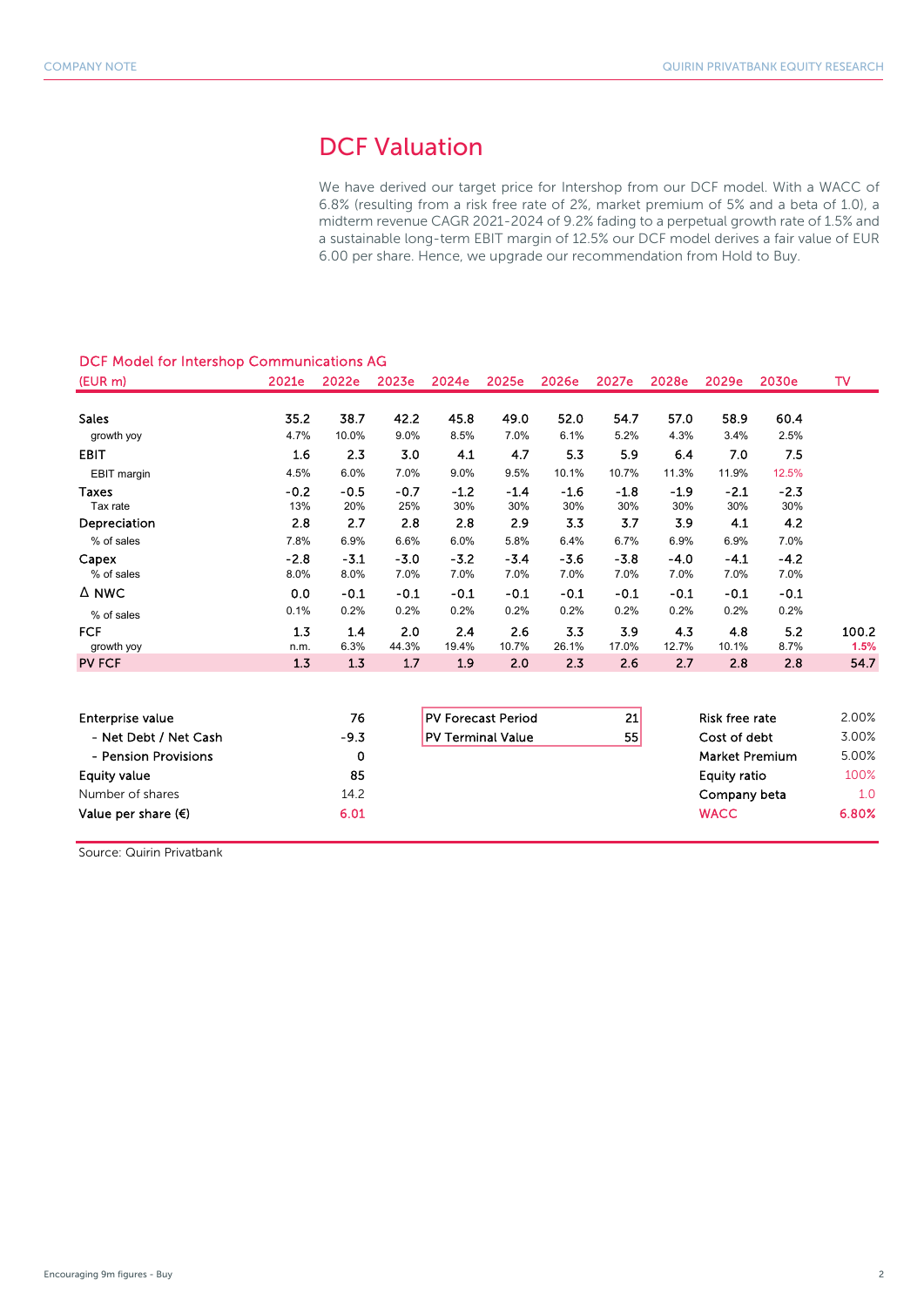# DCF Valuation

We have derived our target price for Intershop from our DCF model. With a WACC of 6.8% (resulting from a risk free rate of 2%, market premium of 5% and a beta of 1.0), a midterm revenue CAGR 2021-2024 of 9.2% fading to a perpetual growth rate of 1.5% and a sustainable long-term EBIT margin of 12.5% our DCF model derives a fair value of EUR 6.00 per share. Hence, we upgrade our recommendation from Hold to Buy.

| DCF Model for Intershop Communications AG |                |                |                |                           |                |                |                |                |                       |                |               |
|-------------------------------------------|----------------|----------------|----------------|---------------------------|----------------|----------------|----------------|----------------|-----------------------|----------------|---------------|
| (EUR m)                                   | 2021e          | 2022e          | 2023e          | 2024e                     | 2025e          | 2026e          | 2027e          | 2028e          | 2029e                 | 2030e          | TV            |
| <b>Sales</b>                              | 35.2           | 38.7           | 42.2           | 45.8                      | 49.0           | 52.0           | 54.7           | 57.0           | 58.9                  | 60.4           |               |
| growth yoy                                | 4.7%           | 10.0%          | 9.0%           | 8.5%                      | 7.0%           | 6.1%           | 5.2%           | 4.3%           | 3.4%                  | 2.5%           |               |
| <b>EBIT</b>                               | 1.6            | 2.3            | 3.0            | 4.1                       | 4.7            | 5.3            | 5.9            | 6.4            | 7.0                   | 7.5            |               |
| EBIT margin                               | 4.5%           | 6.0%           | 7.0%           | 9.0%                      | 9.5%           | 10.1%          | 10.7%          | 11.3%          | 11.9%                 | 12.5%          |               |
| Taxes<br>Tax rate                         | $-0.2$<br>13%  | $-0.5$<br>20%  | $-0.7$<br>25%  | $-1.2$<br>30%             | $-1.4$<br>30%  | $-1.6$<br>30%  | $-1.8$<br>30%  | $-1.9$<br>30%  | $-2.1$<br>30%         | $-2.3$<br>30%  |               |
| Depreciation                              | 2.8            | 2.7            | 2.8            | 2.8                       | 2.9            | 3.3            | 3.7            | 3.9            | 4.1                   | 4.2            |               |
| % of sales                                | 7.8%           | 6.9%           | 6.6%           | 6.0%                      | 5.8%           | 6.4%           | 6.7%           | 6.9%           | 6.9%                  | 7.0%           |               |
| Capex<br>% of sales                       | $-2.8$<br>8.0% | $-3.1$<br>8.0% | $-3.0$<br>7.0% | $-3.2$<br>7.0%            | $-3.4$<br>7.0% | $-3.6$<br>7.0% | $-3.8$<br>7.0% | $-4.0$<br>7.0% | $-4.1$<br>7.0%        | $-4.2$<br>7.0% |               |
| A NWC                                     | 0.0            | $-0.1$         | $-0.1$         | $-0.1$                    | $-0.1$         | $-0.1$         | $-0.1$         | $-0.1$         | $-0.1$                | $-0.1$         |               |
| % of sales                                | 0.1%           | 0.2%           | 0.2%           | 0.2%                      | 0.2%           | 0.2%           | 0.2%           | 0.2%           | 0.2%                  | 0.2%           |               |
| <b>FCF</b><br>growth yoy                  | 1.3<br>n.m.    | 1.4<br>6.3%    | 2.0<br>44.3%   | 2.4<br>19.4%              | 2.6<br>10.7%   | 3.3<br>26.1%   | 3.9<br>17.0%   | 4.3<br>12.7%   | 4.8<br>10.1%          | 5.2<br>8.7%    | 100.2<br>1.5% |
| <b>PV FCF</b>                             | 1.3            | 1.3            | 1.7            | 1.9                       | 2.0            | 2.3            | 2.6            | 2.7            | 2.8                   | 2.8            | 54.7          |
|                                           |                |                |                |                           |                |                |                |                |                       |                |               |
| <b>Enterprise value</b>                   |                | 76             |                | <b>PV Forecast Period</b> |                |                | 21             |                | <b>Risk free rate</b> |                | 2.00%         |
| - Net Debt / Net Cash                     |                | $-9.3$         |                | <b>PV Terminal Value</b>  |                |                | 55             |                | Cost of debt          |                | 3.00%         |
| - Pension Provisions                      |                | 0              |                |                           |                |                |                |                | <b>Market Premium</b> |                | 5.00%         |
| <b>Equity value</b>                       |                | 85             |                |                           |                |                |                |                | <b>Equity ratio</b>   |                | 100%          |
| Number of shares                          |                | 14.2           |                |                           |                |                |                |                | Company beta          |                | 1.0           |
| Value per share $(\epsilon)$              |                | 6.01           |                |                           |                |                |                |                | <b>WACC</b>           |                | 6.80%         |

Source: Quirin Privatbank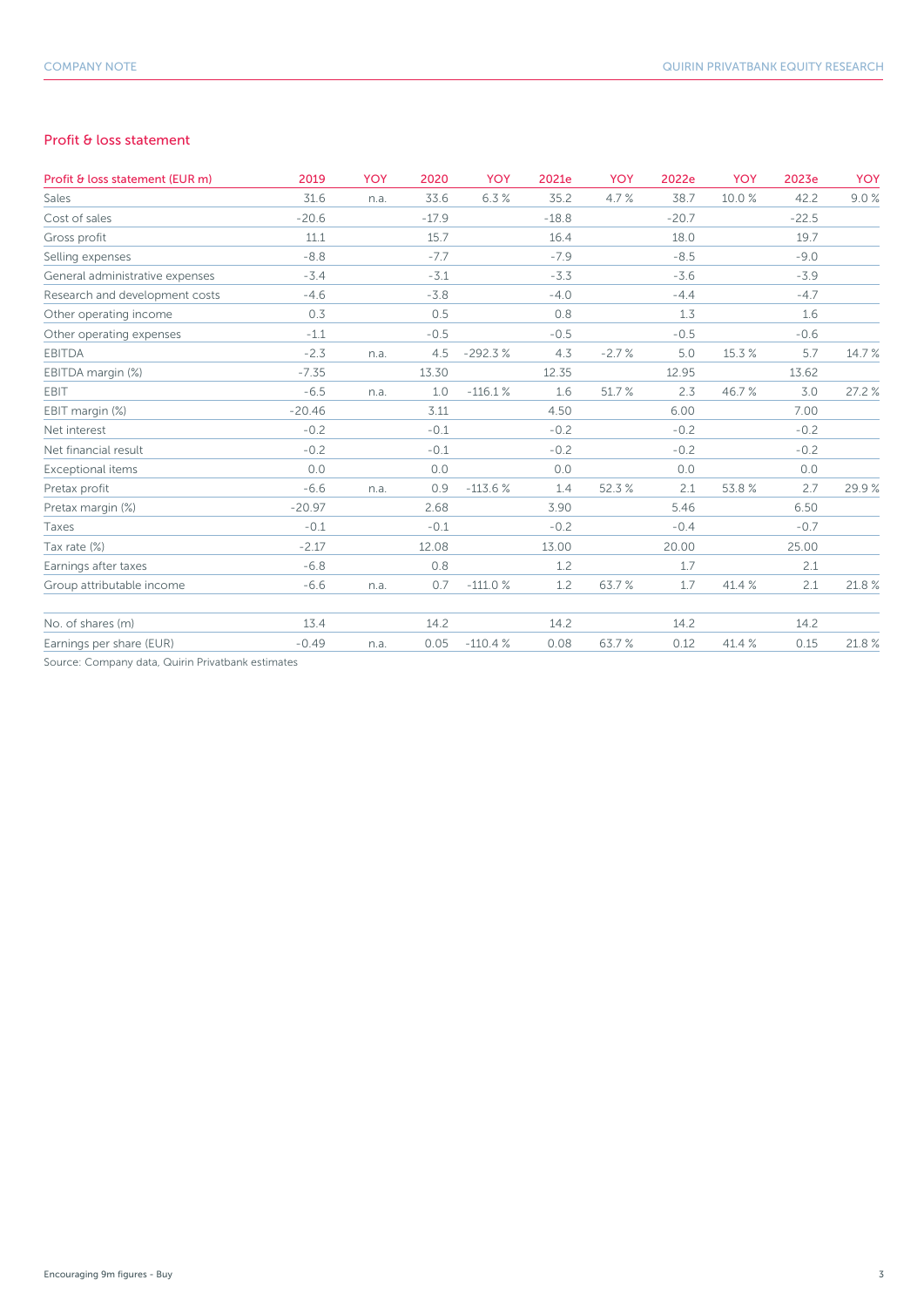#### Profit & loss statement

| Profit & loss statement (EUR m)                   | 2019     | <b>YOY</b> | 2020    | YOY       | 2021e   | <b>YOY</b> | 2022e   | <b>YOY</b> | 2023e   | <b>YOY</b> |
|---------------------------------------------------|----------|------------|---------|-----------|---------|------------|---------|------------|---------|------------|
| Sales                                             | 31.6     | n.a.       | 33.6    | 6.3%      | 35.2    | 4.7%       | 38.7    | 10.0%      | 42.2    | 9.0%       |
| Cost of sales                                     | $-20.6$  |            | $-17.9$ |           | $-18.8$ |            | $-20.7$ |            | $-22.5$ |            |
| Gross profit                                      | 11.1     |            | 15.7    |           | 16.4    |            | 18.0    |            | 19.7    |            |
| Selling expenses                                  | $-8.8$   |            | $-7.7$  |           | $-7.9$  |            | $-8.5$  |            | $-9.0$  |            |
| General administrative expenses                   | $-3.4$   |            | $-3.1$  |           | $-3.3$  |            | $-3.6$  |            | $-3.9$  |            |
| Research and development costs                    | $-4.6$   |            | $-3.8$  |           | $-4.0$  |            | $-4.4$  |            | $-4.7$  |            |
| Other operating income                            | 0.3      |            | 0.5     |           | 0.8     |            | 1.3     |            | 1.6     |            |
| Other operating expenses                          | $-1.1$   |            | $-0.5$  |           | $-0.5$  |            | $-0.5$  |            | $-0.6$  |            |
| <b>EBITDA</b>                                     | $-2.3$   | n.a.       | 4.5     | $-292.3%$ | 4.3     | $-2.7%$    | 5.0     | 15.3%      | 5.7     | 14.7%      |
| EBITDA margin (%)                                 | $-7.35$  |            | 13.30   |           | 12.35   |            | 12.95   |            | 13.62   |            |
| <b>EBIT</b>                                       | $-6.5$   | n.a.       | 1.0     | $-116.1%$ | 1.6     | 51.7%      | 2.3     | 46.7%      | 3.0     | 27.2 %     |
| EBIT margin (%)                                   | $-20.46$ |            | 3.11    |           | 4.50    |            | 6.00    |            | 7.00    |            |
| Net interest                                      | $-0.2$   |            | $-0.1$  |           | $-0.2$  |            | $-0.2$  |            | $-0.2$  |            |
| Net financial result                              | $-0.2$   |            | $-0.1$  |           | $-0.2$  |            | $-0.2$  |            | $-0.2$  |            |
| Exceptional items                                 | 0.0      |            | 0.0     |           | 0.0     |            | 0.0     |            | 0.0     |            |
| Pretax profit                                     | $-6.6$   | n.a.       | 0.9     | $-113.6%$ | 1.4     | 52.3%      | 2.1     | 53.8%      | 2.7     | 29.9%      |
| Pretax margin (%)                                 | $-20.97$ |            | 2.68    |           | 3.90    |            | 5.46    |            | 6.50    |            |
| Taxes                                             | $-0.1$   |            | $-0.1$  |           | $-0.2$  |            | $-0.4$  |            | $-0.7$  |            |
| Tax rate (%)                                      | $-2.17$  |            | 12.08   |           | 13.00   |            | 20.00   |            | 25.00   |            |
| Earnings after taxes                              | $-6.8$   |            | 0.8     |           | 1.2     |            | 1.7     |            | 2.1     |            |
| Group attributable income                         | $-6.6$   | n.a.       | 0.7     | $-111.0%$ | 1.2     | 63.7%      | 1.7     | 41.4 %     | 2.1     | 21.8%      |
| No. of shares (m)                                 | 13.4     |            | 14.2    |           | 14.2    |            | 14.2    |            | 14.2    |            |
| Earnings per share (EUR)                          | $-0.49$  | n.a.       | 0.05    | $-110.4%$ | 0.08    | 63.7%      | 0.12    | 41.4 %     | 0.15    | 21.8%      |
| Source: Company data, Quirin Privatbank estimates |          |            |         |           |         |            |         |            |         |            |

npany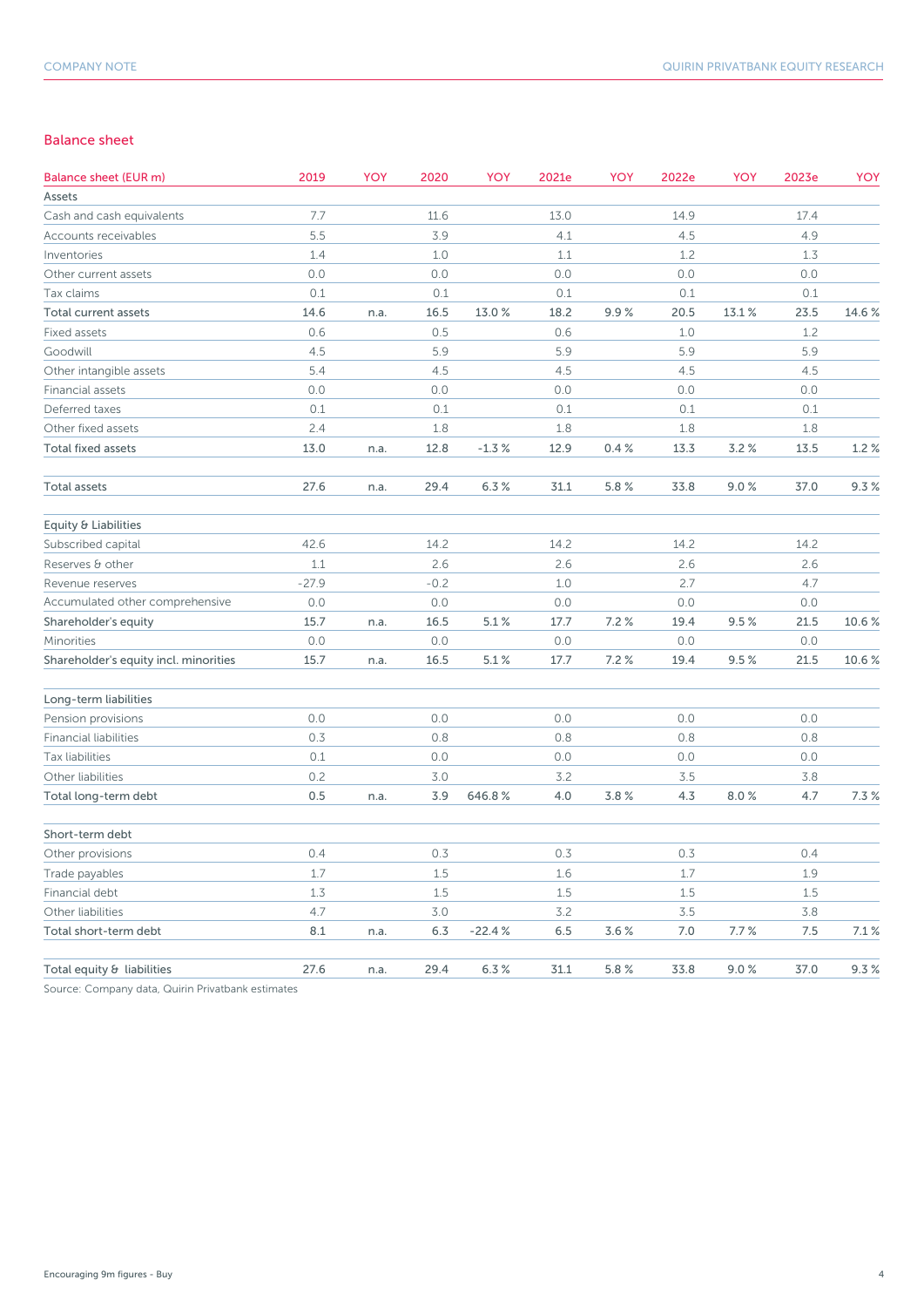#### Balance sheet

| <b>Balance sheet (EUR m)</b>          | 2019    | YOY  | 2020   | YOY      | 2021e | <b>YOY</b> | 2022e | <b>YOY</b> | 2023e | YOY    |
|---------------------------------------|---------|------|--------|----------|-------|------------|-------|------------|-------|--------|
| Assets                                |         |      |        |          |       |            |       |            |       |        |
| Cash and cash equivalents             | 7.7     |      | 11.6   |          | 13.0  |            | 14.9  |            | 17.4  |        |
| Accounts receivables                  | 5.5     |      | 3.9    |          | 4.1   |            | 4.5   |            | 4.9   |        |
| Inventories                           | 1.4     |      | 1.0    |          | 1.1   |            | 1.2   |            | 1.3   |        |
| Other current assets                  | 0.0     |      | 0.0    |          | 0.0   |            | 0.0   |            | 0.0   |        |
| Tax claims                            | 0.1     |      | 0.1    |          | 0.1   |            | 0.1   |            | 0.1   |        |
| Total current assets                  | 14.6    | n.a. | 16.5   | 13.0%    | 18.2  | 9.9%       | 20.5  | 13.1%      | 23.5  | 14.6 % |
| <b>Fixed assets</b>                   | 0.6     |      | 0.5    |          | 0.6   |            | 1.0   |            | 1.2   |        |
| Goodwill                              | 4.5     |      | 5.9    |          | 5.9   |            | 5.9   |            | 5.9   |        |
| Other intangible assets               | 5.4     |      | 4.5    |          | 4.5   |            | 4.5   |            | 4.5   |        |
| Financial assets                      | 0.0     |      | 0.0    |          | 0.0   |            | 0.0   |            | 0.0   |        |
| Deferred taxes                        | 0.1     |      | 0.1    |          | 0.1   |            | 0.1   |            | 0.1   |        |
| Other fixed assets                    | 2.4     |      | 1.8    |          | 1.8   |            | 1.8   |            | 1.8   |        |
| <b>Total fixed assets</b>             | 13.0    | n.a. | 12.8   | $-1.3%$  | 12.9  | 0.4%       | 13.3  | 3.2%       | 13.5  | 1.2%   |
| Total assets                          | 27.6    | n.a. | 29.4   | 6.3%     | 31.1  | 5.8%       | 33.8  | 9.0%       | 37.0  | 9.3%   |
| Equity & Liabilities                  |         |      |        |          |       |            |       |            |       |        |
| Subscribed capital                    | 42.6    |      | 14.2   |          | 14.2  |            | 14.2  |            | 14.2  |        |
| Reserves & other                      | 1.1     |      | 2.6    |          | 2.6   |            | 2.6   |            | 2.6   |        |
| Revenue reserves                      | $-27.9$ |      | $-0.2$ |          | 1.0   |            | 2.7   |            | 4.7   |        |
| Accumulated other comprehensive       | 0.0     |      | 0.0    |          | 0.0   |            | 0.0   |            | 0.0   |        |
| Shareholder's equity                  | 15.7    | n.a. | 16.5   | 5.1%     | 17.7  | 7.2%       | 19.4  | 9.5%       | 21.5  | 10.6%  |
| Minorities                            | 0.0     |      | 0.0    |          | 0.0   |            | 0.0   |            | 0.0   |        |
| Shareholder's equity incl. minorities | 15.7    | n.a. | 16.5   | 5.1%     | 17.7  | 7.2%       | 19.4  | 9.5%       | 21.5  | 10.6%  |
| Long-term liabilities                 |         |      |        |          |       |            |       |            |       |        |
| Pension provisions                    | 0.0     |      | 0.0    |          | 0.0   |            | 0.0   |            | 0.0   |        |
| <b>Financial liabilities</b>          | 0.3     |      | 0.8    |          | 0.8   |            | 0.8   |            | 0.8   |        |
| Tax liabilities                       | 0.1     |      | 0.0    |          | 0.0   |            | 0.0   |            | 0.0   |        |
| Other liabilities                     | 0.2     |      | 3.0    |          | 3.2   |            | 3.5   |            | 3.8   |        |
| Total long-term debt                  | 0.5     | n.a. | 3.9    | 646.8%   | 4.0   | 3.8%       | 4.3   | 8.0%       | 4.7   | 7.3%   |
| Short-term debt                       |         |      |        |          |       |            |       |            |       |        |
| Other provisions                      | 0.4     |      | 0.3    |          | 0.3   |            | 0.3   |            | 0.4   |        |
| Trade payables                        | 1.7     |      | 1.5    |          | 1.6   |            | 1.7   |            | 1.9   |        |
| Financial debt                        | 1.3     |      | 1.5    |          | 1.5   |            | 1.5   |            | 1.5   |        |
| Other liabilities                     | 4.7     |      | 3.0    |          | 3.2   |            | 3.5   |            | 3.8   |        |
| Total short-term debt                 | 8.1     | n.a. | 6.3    | $-22.4%$ | 6.5   | 3.6%       | 7.0   | 7.7%       | 7.5   | 7.1%   |
| Total equity & liabilities            | 27.6    | n.a. | 29.4   | 6.3%     | 31.1  | 5.8%       | 33.8  | 9.0%       | 37.0  | 9.3%   |

Source: Company data, Quirin Privatbank estimates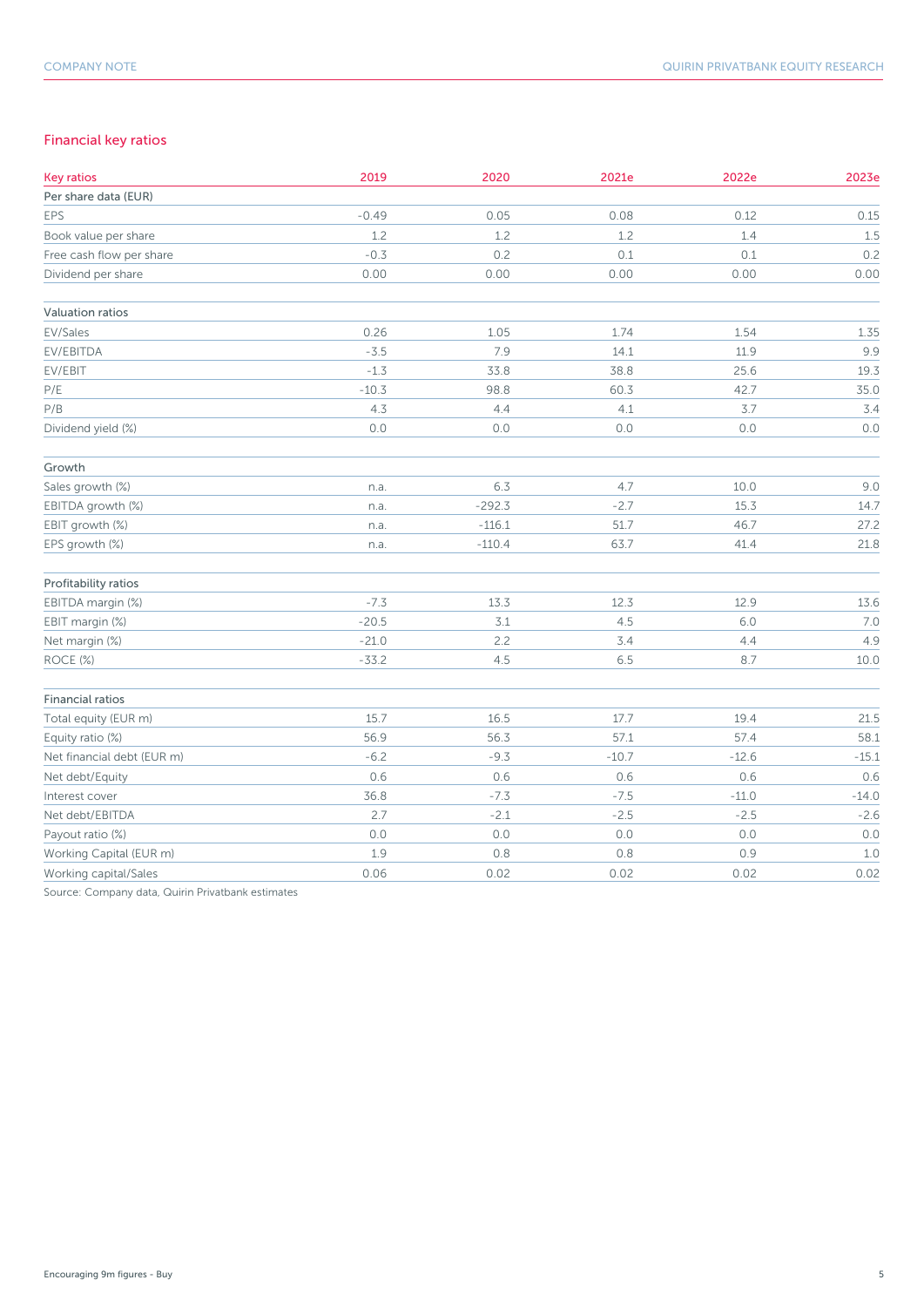### Financial key ratios

| <b>Key ratios</b>          | 2019    | 2020     | 2021e   | 2022e   | 2023e   |
|----------------------------|---------|----------|---------|---------|---------|
| Per share data (EUR)       |         |          |         |         |         |
| <b>EPS</b>                 | $-0.49$ | 0.05     | 0.08    | 0.12    | 0.15    |
| Book value per share       | 1.2     | 1.2      | 1.2     | 1.4     | 1.5     |
| Free cash flow per share   | $-0.3$  | 0.2      | 0.1     | 0.1     | 0.2     |
| Dividend per share         | 0.00    | 0.00     | 0.00    | 0.00    | 0.00    |
| Valuation ratios           |         |          |         |         |         |
| EV/Sales                   | 0.26    | 1.05     | 1.74    | 1.54    | 1.35    |
| EV/EBITDA                  | $-3.5$  | 7.9      | 14.1    | 11.9    | 9.9     |
| EV/EBIT                    | $-1.3$  | 33.8     | 38.8    | 25.6    | 19.3    |
| $\mathsf{P}/\mathsf{E}$    | $-10.3$ | 98.8     | 60.3    | 42.7    | 35.0    |
| P/B                        | 4.3     | 4.4      | 4.1     | $3.7$   | 3.4     |
| Dividend yield (%)         | 0.0     | 0.0      | 0.0     | 0.0     | 0.0     |
| Growth                     |         |          |         |         |         |
| Sales growth (%)           | n.a.    | 6.3      | 4.7     | 10.0    | 9.0     |
| EBITDA growth (%)          | n.a.    | $-292.3$ | $-2.7$  | 15.3    | 14.7    |
| EBIT growth (%)            | n.a.    | $-116.1$ | 51.7    | 46.7    | 27.2    |
| EPS growth (%)             | n.a.    | $-110.4$ | 63.7    | 41.4    | 21.8    |
| Profitability ratios       |         |          |         |         |         |
| EBITDA margin (%)          | $-7.3$  | 13.3     | 12.3    | 12.9    | 13.6    |
| EBIT margin (%)            | $-20.5$ | $3.1$    | 4.5     | 6.0     | 7.0     |
| Net margin (%)             | $-21.0$ | 2.2      | 3.4     | 4.4     | 4.9     |
| ROCE (%)                   | $-33.2$ | 4.5      | 6.5     | 8.7     | 10.0    |
| <b>Financial ratios</b>    |         |          |         |         |         |
| Total equity (EUR m)       | 15.7    | 16.5     | 17.7    | 19.4    | 21.5    |
| Equity ratio (%)           | 56.9    | 56.3     | 57.1    | 57.4    | 58.1    |
| Net financial debt (EUR m) | $-6.2$  | $-9.3$   | $-10.7$ | $-12.6$ | $-15.1$ |
| Net debt/Equity            | 0.6     | 0.6      | 0.6     | 0.6     | 0.6     |
| Interest cover             | 36.8    | $-7.3$   | $-7.5$  | $-11.0$ | $-14.0$ |
| Net debt/EBITDA            | 2.7     | $-2.1$   | $-2.5$  | $-2.5$  | $-2.6$  |
| Payout ratio (%)           | $0.0$   | $0.0$    | $0.0$   | $0.0\,$ | 0.0     |
| Working Capital (EUR m)    | 1.9     | 0.8      | $0.8$   | 0.9     | $1.0$   |
| Working capital/Sales      | 0.06    | 0.02     | 0.02    | 0.02    | 0.02    |

Source: Company data, Quirin Privatbank estimates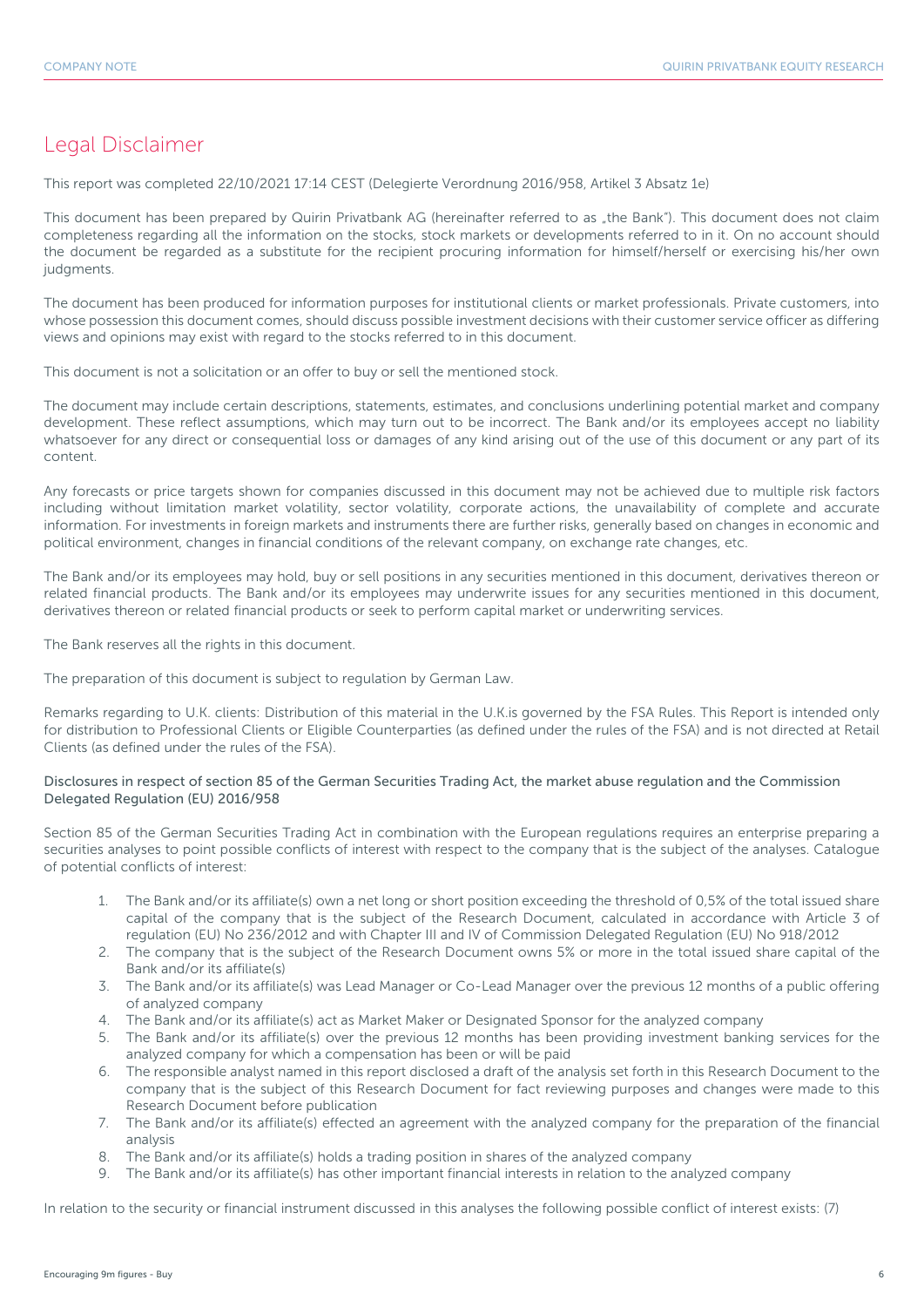## Legal Disclaimer

This report was completed 22/10/2021 17:14 CEST (Delegierte Verordnung 2016/958, Artikel 3 Absatz 1e)

This document has been prepared by Quirin Privatbank AG (hereinafter referred to as "the Bank"). This document does not claim completeness regarding all the information on the stocks, stock markets or developments referred to in it. On no account should the document be regarded as a substitute for the recipient procuring information for himself/herself or exercising his/her own judgments.

The document has been produced for information purposes for institutional clients or market professionals. Private customers, into whose possession this document comes, should discuss possible investment decisions with their customer service officer as differing views and opinions may exist with regard to the stocks referred to in this document.

This document is not a solicitation or an offer to buy or sell the mentioned stock.

The document may include certain descriptions, statements, estimates, and conclusions underlining potential market and company development. These reflect assumptions, which may turn out to be incorrect. The Bank and/or its employees accept no liability whatsoever for any direct or consequential loss or damages of any kind arising out of the use of this document or any part of its content.

Any forecasts or price targets shown for companies discussed in this document may not be achieved due to multiple risk factors including without limitation market volatility, sector volatility, corporate actions, the unavailability of complete and accurate information. For investments in foreign markets and instruments there are further risks, generally based on changes in economic and political environment, changes in financial conditions of the relevant company, on exchange rate changes, etc.

The Bank and/or its employees may hold, buy or sell positions in any securities mentioned in this document, derivatives thereon or related financial products. The Bank and/or its employees may underwrite issues for any securities mentioned in this document, derivatives thereon or related financial products or seek to perform capital market or underwriting services.

The Bank reserves all the rights in this document.

The preparation of this document is subject to regulation by German Law.

Remarks regarding to U.K. clients: Distribution of this material in the U.K.is governed by the FSA Rules. This Report is intended only for distribution to Professional Clients or Eligible Counterparties (as defined under the rules of the FSA) and is not directed at Retail Clients (as defined under the rules of the FSA).

#### Disclosures in respect of section 85 of the German Securities Trading Act, the market abuse regulation and the Commission Delegated Regulation (EU) 2016/958

Section 85 of the German Securities Trading Act in combination with the European regulations requires an enterprise preparing a securities analyses to point possible conflicts of interest with respect to the company that is the subject of the analyses. Catalogue of potential conflicts of interest:

- 1. The Bank and/or its affiliate(s) own a net long or short position exceeding the threshold of 0,5% of the total issued share capital of the company that is the subject of the Research Document, calculated in accordance with Article 3 of regulation (EU) No 236/2012 and with Chapter III and IV of Commission Delegated Regulation (EU) No 918/2012
- 2. The company that is the subject of the Research Document owns 5% or more in the total issued share capital of the Bank and/or its affiliate(s)
- 3. The Bank and/or its affiliate(s) was Lead Manager or Co-Lead Manager over the previous 12 months of a public offering of analyzed company
- 4. The Bank and/or its affiliate(s) act as Market Maker or Designated Sponsor for the analyzed company
- 5. The Bank and/or its affiliate(s) over the previous 12 months has been providing investment banking services for the analyzed company for which a compensation has been or will be paid
- 6. The responsible analyst named in this report disclosed a draft of the analysis set forth in this Research Document to the company that is the subject of this Research Document for fact reviewing purposes and changes were made to this Research Document before publication
- 7. The Bank and/or its affiliate(s) effected an agreement with the analyzed company for the preparation of the financial analysis
- 8. The Bank and/or its affiliate(s) holds a trading position in shares of the analyzed company
- 9. The Bank and/or its affiliate(s) has other important financial interests in relation to the analyzed company

In relation to the security or financial instrument discussed in this analyses the following possible conflict of interest exists: (7)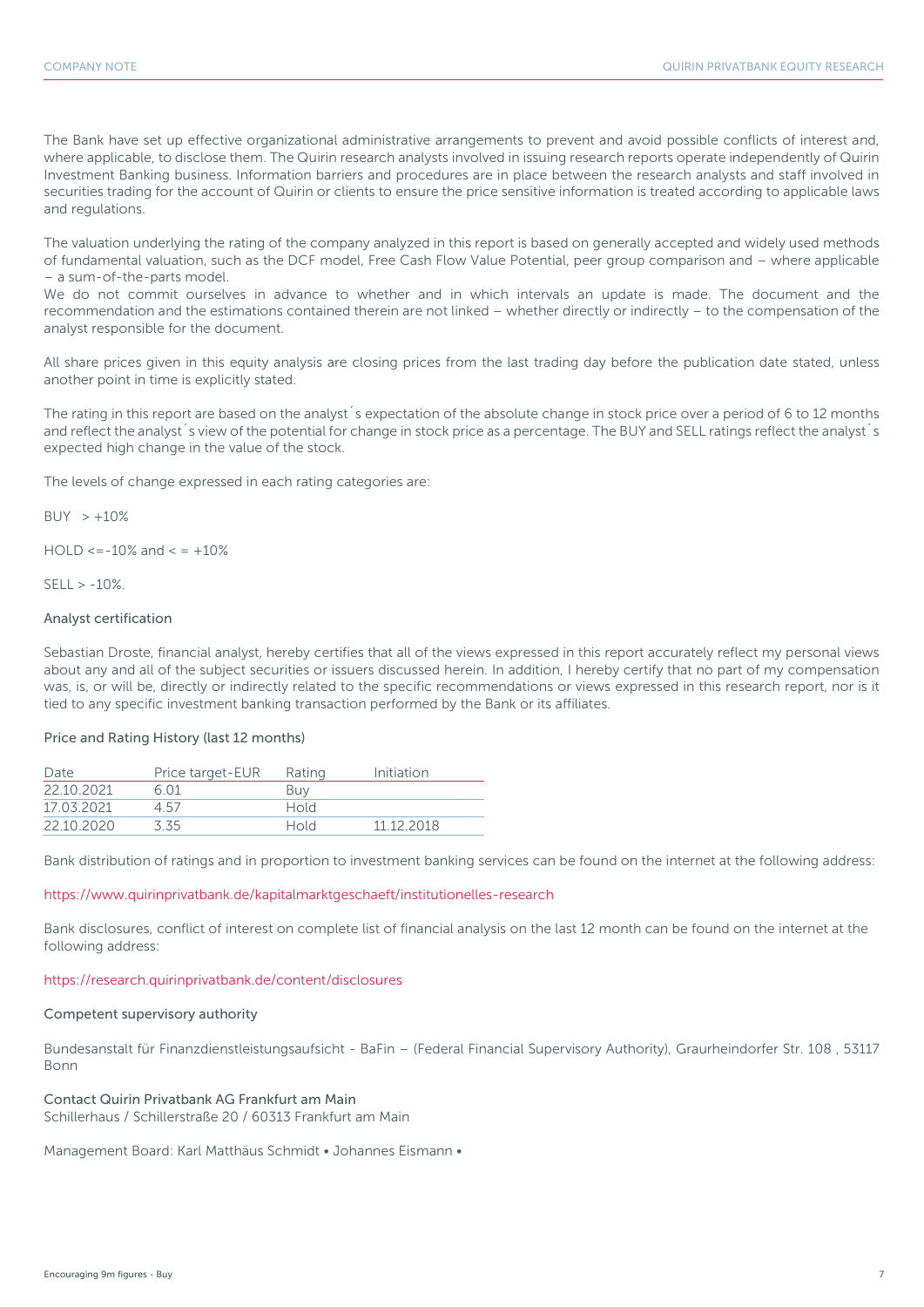The Bank have set up effective organizational administrative arrangements to prevent and avoid possible conflicts of interest and, where applicable, to disclose them. The Quirin research analysts involved in issuing research reports operate independently of Quirin Investment Banking business. Information barriers and procedures are in place between the research analysts and staff involved in securities trading for the account of Quirin or clients to ensure the price sensitive information is treated according to applicable laws and regulations.

The valuation underlying the rating of the company analyzed in this report is based on generally accepted and widely used methods of fundamental valuation, such as the DCF model, Free Cash Flow Value Potential, peer group comparison and – where applicable – a sum-of-the-parts model.

We do not commit ourselves in advance to whether and in which intervals an update is made. The document and the recommendation and the estimations contained therein are not linked – whether directly or indirectly – to the compensation of the analyst responsible for the document.

All share prices given in this equity analysis are closing prices from the last trading day before the publication date stated, unless another point in time is explicitly stated.

The rating in this report are based on the analyst´s expectation of the absolute change in stock price over a period of 6 to 12 months and reflect the analyst<sup>'</sup>s view of the potential for change in stock price as a percentage. The BUY and SELL ratings reflect the analyst's expected high change in the value of the stock.

The levels of change expressed in each rating categories are:

 $BUY > +10%$ 

 $HOLD \le -10\%$  and  $\le +10\%$ 

 $SFII > -10%$ 

#### Analyst certification

Sebastian Droste, financial analyst, hereby certifies that all of the views expressed in this report accurately reflect my personal views about any and all of the subject securities or issuers discussed herein. In addition, I hereby certify that no part of my compensation was, is, or will be, directly or indirectly related to the specific recommendations or views expressed in this research report, nor is it tied to any specific investment banking transaction performed by the Bank or its affiliates.

#### Price and Rating History (last 12 months)

| Date       | Price target-EUR | Rating | Initiation |
|------------|------------------|--------|------------|
| 22 10 2021 | 6.01             | Buy    |            |
| 17.03.2021 | 4.57             | Hold   |            |
| 22 10 2020 | 3.35             | Hold   | 11 12 2018 |

Bank distribution of ratings and in proportion to investment banking services can be found on the internet at the following address:

#### https://www.quirinprivatbank.de/kapitalmarktgeschaeft/institutionelles-research

Bank disclosures, conflict of interest on complete list of financial analysis on the last 12 month can be found on the internet at the following address:

#### https://research.quirinprivatbank.de/content/disclosures

#### Competent supervisory authority

Bundesanstalt für Finanzdienstleistungsaufsicht - BaFin – (Federal Financial Supervisory Authority), Graurheindorfer Str. 108 , 53117 Bonn

#### Contact Quirin Privatbank AG Frankfurt am Main

Schillerhaus / Schillerstraße 20 / 60313 Frankfurt am Main

Management Board: Karl Matthäus Schmidt • Johannes Eismann •